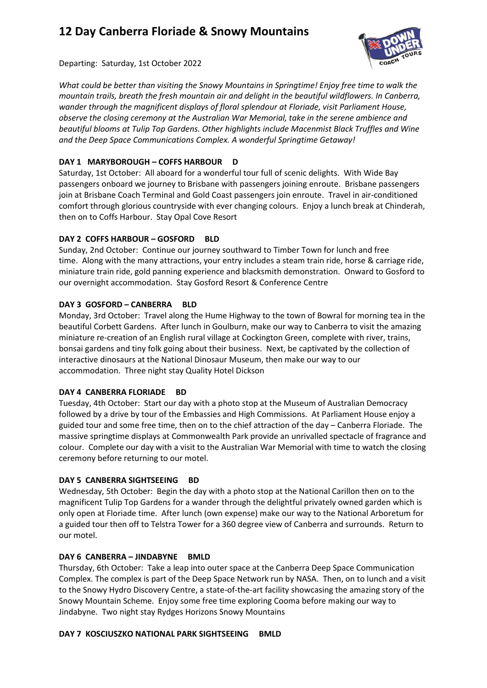# **12 Day Canberra Floriade & Snowy Mountains**



Departing: Saturday, 1st October 2022

*What could be better than visiting the Snowy Mountains in Springtime! Enjoy free time to walk the mountain trails, breath the fresh mountain air and delight in the beautiful wildflowers. In Canberra, wander through the magnificent displays of floral splendour at Floriade, visit Parliament House, observe the closing ceremony at the Australian War Memorial, take in the serene ambience and beautiful blooms at Tulip Top Gardens. Other highlights include Macenmist Black Truffles and Wine and the Deep Space Communications Complex. A wonderful Springtime Getaway!*

# **DAY 1 MARYBOROUGH – COFFS HARBOUR D**

Saturday, 1st October: All aboard for a wonderful tour full of scenic delights. With Wide Bay passengers onboard we journey to Brisbane with passengers joining enroute. Brisbane passengers join at Brisbane Coach Terminal and Gold Coast passengers join enroute. Travel in air-conditioned comfort through glorious countryside with ever changing colours. Enjoy a lunch break at Chinderah, then on to Coffs Harbour. Stay Opal Cove Resort

# **DAY 2 COFFS HARBOUR – GOSFORD BLD**

Sunday, 2nd October: Continue our journey southward to Timber Town for lunch and free time. Along with the many attractions, your entry includes a steam train ride, horse & carriage ride, miniature train ride, gold panning experience and blacksmith demonstration. Onward to Gosford to our overnight accommodation. Stay Gosford Resort & Conference Centre

# **DAY 3 GOSFORD – CANBERRA BLD**

Monday, 3rd October: Travel along the Hume Highway to the town of Bowral for morning tea in the beautiful Corbett Gardens. After lunch in Goulburn, make our way to Canberra to visit the amazing miniature re-creation of an English rural village at Cockington Green, complete with river, trains, bonsai gardens and tiny folk going about their business. Next, be captivated by the collection of interactive dinosaurs at the National Dinosaur Museum, then make our way to our accommodation. Three night stay Quality Hotel Dickson

# **DAY 4 CANBERRA FLORIADE BD**

Tuesday, 4th October: Start our day with a photo stop at the Museum of Australian Democracy followed by a drive by tour of the Embassies and High Commissions. At Parliament House enjoy a guided tour and some free time, then on to the chief attraction of the day – Canberra Floriade. The massive springtime displays at Commonwealth Park provide an unrivalled spectacle of fragrance and colour. Complete our day with a visit to the Australian War Memorial with time to watch the closing ceremony before returning to our motel.

# **DAY 5 CANBERRA SIGHTSEEING BD**

Wednesday, 5th October: Begin the day with a photo stop at the National Carillon then on to the magnificent Tulip Top Gardens for a wander through the delightful privately owned garden which is only open at Floriade time. After lunch (own expense) make our way to the National Arboretum for a guided tour then off to Telstra Tower for a 360 degree view of Canberra and surrounds. Return to our motel.

# **DAY 6 CANBERRA – JINDABYNE BMLD**

Thursday, 6th October: Take a leap into outer space at the Canberra Deep Space Communication Complex. The complex is part of the Deep Space Network run by NASA. Then, on to lunch and a visit to the Snowy Hydro Discovery Centre, a state-of-the-art facility showcasing the amazing story of the Snowy Mountain Scheme. Enjoy some free time exploring Cooma before making our way to Jindabyne. Two night stay Rydges Horizons Snowy Mountains

# **DAY 7 KOSCIUSZKO NATIONAL PARK SIGHTSEEING BMLD**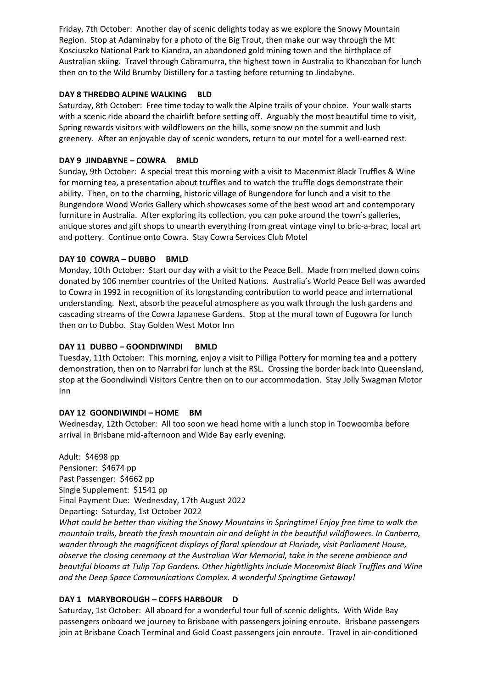Friday, 7th October: Another day of scenic delights today as we explore the Snowy Mountain Region. Stop at Adaminaby for a photo of the Big Trout, then make our way through the Mt Kosciuszko National Park to Kiandra, an abandoned gold mining town and the birthplace of Australian skiing. Travel through Cabramurra, the highest town in Australia to Khancoban for lunch then on to the Wild Brumby Distillery for a tasting before returning to Jindabyne.

# **DAY 8 THREDBO ALPINE WALKING BLD**

Saturday, 8th October: Free time today to walk the Alpine trails of your choice. Your walk starts with a scenic ride aboard the chairlift before setting off. Arguably the most beautiful time to visit, Spring rewards visitors with wildflowers on the hills, some snow on the summit and lush greenery. After an enjoyable day of scenic wonders, return to our motel for a well-earned rest.

## **DAY 9 JINDABYNE – COWRA BMLD**

Sunday, 9th October: A special treat this morning with a visit to Macenmist Black Truffles & Wine for morning tea, a presentation about truffles and to watch the truffle dogs demonstrate their ability. Then, on to the charming, historic village of Bungendore for lunch and a visit to the Bungendore Wood Works Gallery which showcases some of the best wood art and contemporary furniture in Australia. After exploring its collection, you can poke around the town's galleries, antique stores and gift shops to unearth everything from great vintage vinyl to bric-a-brac, local art and pottery. Continue onto Cowra. Stay Cowra Services Club Motel

#### **DAY 10 COWRA – DUBBO BMLD**

Monday, 10th October: Start our day with a visit to the Peace Bell. Made from melted down coins donated by 106 member countries of the United Nations. Australia's World Peace Bell was awarded to Cowra in 1992 in recognition of its longstanding contribution to world peace and international understanding. Next, absorb the peaceful atmosphere as you walk through the lush gardens and cascading streams of the Cowra Japanese Gardens. Stop at the mural town of Eugowra for lunch then on to Dubbo. Stay Golden West Motor Inn

#### **DAY 11 DUBBO – GOONDIWINDI BMLD**

Tuesday, 11th October: This morning, enjoy a visit to Pilliga Pottery for morning tea and a pottery demonstration, then on to Narrabri for lunch at the RSL. Crossing the border back into Queensland, stop at the Goondiwindi Visitors Centre then on to our accommodation. Stay Jolly Swagman Motor Inn

#### **DAY 12 GOONDIWINDI – HOME BM**

Wednesday, 12th October: All too soon we head home with a lunch stop in Toowoomba before arrival in Brisbane mid-afternoon and Wide Bay early evening.

Adult: \$4698 pp Pensioner: \$4674 pp Past Passenger: \$4662 pp Single Supplement: \$1541 pp Final Payment Due: Wednesday, 17th August 2022 Departing: Saturday, 1st October 2022 *What could be better than visiting the Snowy Mountains in Springtime! Enjoy free time to walk the mountain trails, breath the fresh mountain air and delight in the beautiful wildflowers. In Canberra, wander through the magnificent displays of floral splendour at Floriade, visit Parliament House, observe the closing ceremony at the Australian War Memorial, take in the serene ambience and beautiful blooms at Tulip Top Gardens. Other hightlights include Macenmist Black Truffles and Wine and the Deep Space Communications Complex. A wonderful Springtime Getaway!*

# **DAY 1 MARYBOROUGH – COFFS HARBOUR D**

Saturday, 1st October: All aboard for a wonderful tour full of scenic delights. With Wide Bay passengers onboard we journey to Brisbane with passengers joining enroute. Brisbane passengers join at Brisbane Coach Terminal and Gold Coast passengers join enroute. Travel in air-conditioned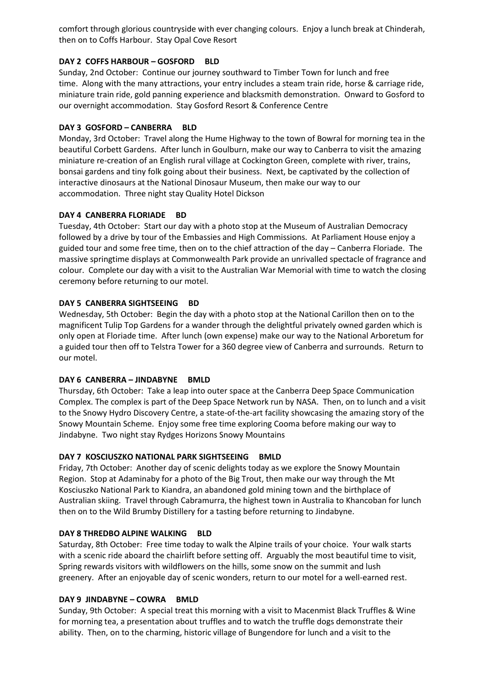comfort through glorious countryside with ever changing colours. Enjoy a lunch break at Chinderah, then on to Coffs Harbour. Stay Opal Cove Resort

#### **DAY 2 COFFS HARBOUR – GOSFORD BLD**

Sunday, 2nd October: Continue our journey southward to Timber Town for lunch and free time. Along with the many attractions, your entry includes a steam train ride, horse & carriage ride, miniature train ride, gold panning experience and blacksmith demonstration. Onward to Gosford to our overnight accommodation. Stay Gosford Resort & Conference Centre

## **DAY 3 GOSFORD – CANBERRA BLD**

Monday, 3rd October: Travel along the Hume Highway to the town of Bowral for morning tea in the beautiful Corbett Gardens. After lunch in Goulburn, make our way to Canberra to visit the amazing miniature re-creation of an English rural village at Cockington Green, complete with river, trains, bonsai gardens and tiny folk going about their business. Next, be captivated by the collection of interactive dinosaurs at the National Dinosaur Museum, then make our way to our accommodation. Three night stay Quality Hotel Dickson

#### **DAY 4 CANBERRA FLORIADE BD**

Tuesday, 4th October: Start our day with a photo stop at the Museum of Australian Democracy followed by a drive by tour of the Embassies and High Commissions. At Parliament House enjoy a guided tour and some free time, then on to the chief attraction of the day – Canberra Floriade. The massive springtime displays at Commonwealth Park provide an unrivalled spectacle of fragrance and colour. Complete our day with a visit to the Australian War Memorial with time to watch the closing ceremony before returning to our motel.

#### **DAY 5 CANBERRA SIGHTSEEING BD**

Wednesday, 5th October: Begin the day with a photo stop at the National Carillon then on to the magnificent Tulip Top Gardens for a wander through the delightful privately owned garden which is only open at Floriade time. After lunch (own expense) make our way to the National Arboretum for a guided tour then off to Telstra Tower for a 360 degree view of Canberra and surrounds. Return to our motel.

#### **DAY 6 CANBERRA – JINDABYNE BMLD**

Thursday, 6th October: Take a leap into outer space at the Canberra Deep Space Communication Complex. The complex is part of the Deep Space Network run by NASA. Then, on to lunch and a visit to the Snowy Hydro Discovery Centre, a state-of-the-art facility showcasing the amazing story of the Snowy Mountain Scheme. Enjoy some free time exploring Cooma before making our way to Jindabyne. Two night stay Rydges Horizons Snowy Mountains

#### **DAY 7 KOSCIUSZKO NATIONAL PARK SIGHTSEEING BMLD**

Friday, 7th October: Another day of scenic delights today as we explore the Snowy Mountain Region. Stop at Adaminaby for a photo of the Big Trout, then make our way through the Mt Kosciuszko National Park to Kiandra, an abandoned gold mining town and the birthplace of Australian skiing. Travel through Cabramurra, the highest town in Australia to Khancoban for lunch then on to the Wild Brumby Distillery for a tasting before returning to Jindabyne.

#### **DAY 8 THREDBO ALPINE WALKING BLD**

Saturday, 8th October: Free time today to walk the Alpine trails of your choice. Your walk starts with a scenic ride aboard the chairlift before setting off. Arguably the most beautiful time to visit, Spring rewards visitors with wildflowers on the hills, some snow on the summit and lush greenery. After an enjoyable day of scenic wonders, return to our motel for a well-earned rest.

# **DAY 9 JINDABYNE – COWRA BMLD**

Sunday, 9th October: A special treat this morning with a visit to Macenmist Black Truffles & Wine for morning tea, a presentation about truffles and to watch the truffle dogs demonstrate their ability. Then, on to the charming, historic village of Bungendore for lunch and a visit to the